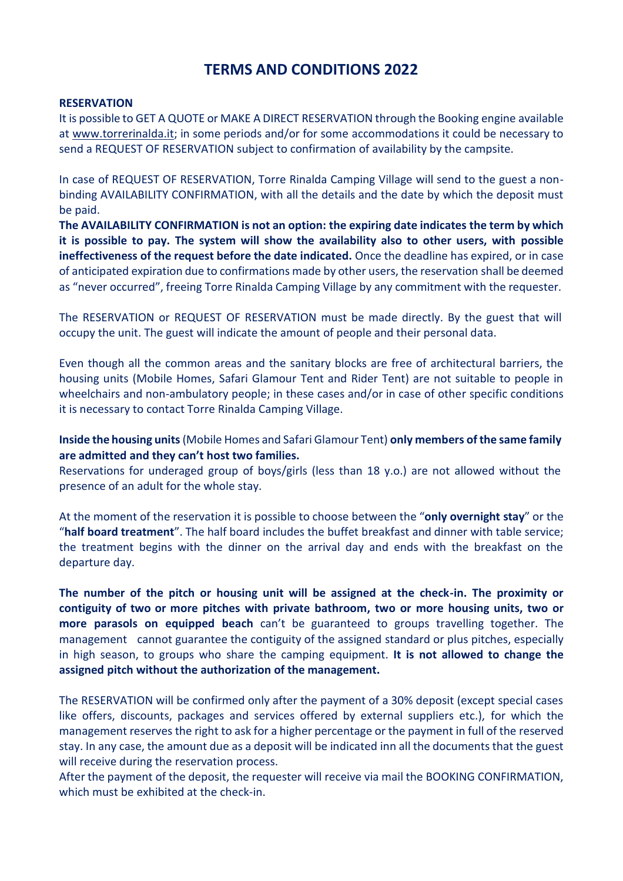# **TERMS AND CONDITIONS 2022**

#### **RESERVATION**

It is possible to GET A QUOTE or MAKE A DIRECT RESERVATION through the Booking engine available at [www.torrerinalda.it;](http://www.torrerinalda.it/) in some periods and/or for some accommodations it could be necessary to send a REQUEST OF RESERVATION subject to confirmation of availability by the campsite.

In case of REQUEST OF RESERVATION, Torre Rinalda Camping Village will send to the guest a nonbinding AVAILABILITY CONFIRMATION, with all the details and the date by which the deposit must be paid.

**The AVAILABILITY CONFIRMATION is not an option: the expiring date indicates the term by which it is possible to pay. The system will show the availability also to other users, with possible ineffectiveness of the request before the date indicated.** Once the deadline has expired, or in case of anticipated expiration due to confirmations made by other users, the reservation shall be deemed as "never occurred", freeing Torre Rinalda Camping Village by any commitment with the requester.

The RESERVATION or REQUEST OF RESERVATION must be made directly. By the guest that will occupy the unit. The guest will indicate the amount of people and their personal data.

Even though all the common areas and the sanitary blocks are free of architectural barriers, the housing units (Mobile Homes, Safari Glamour Tent and Rider Tent) are not suitable to people in wheelchairs and non-ambulatory people; in these cases and/or in case of other specific conditions it is necessary to contact Torre Rinalda Camping Village.

## **Inside the housing units**(Mobile Homes and Safari Glamour Tent) **only members of the same family are admitted and they can't host two families.**

Reservations for underaged group of boys/girls (less than 18 y.o.) are not allowed without the presence of an adult for the whole stay.

At the moment of the reservation it is possible to choose between the "**only overnight stay**" or the "**half board treatment**". The half board includes the buffet breakfast and dinner with table service; the treatment begins with the dinner on the arrival day and ends with the breakfast on the departure day.

**The number of the pitch or housing unit will be assigned at the check-in. The proximity or contiguity of two or more pitches with private bathroom, two or more housing units, two or more parasols on equipped beach** can't be guaranteed to groups travelling together. The management cannot guarantee the contiguity of the assigned standard or plus pitches, especially in high season, to groups who share the camping equipment. **It is not allowed to change the assigned pitch without the authorization of the management.**

The RESERVATION will be confirmed only after the payment of a 30% deposit (except special cases like offers, discounts, packages and services offered by external suppliers etc.), for which the management reserves the right to ask for a higher percentage or the payment in full of the reserved stay. In any case, the amount due as a deposit will be indicated inn all the documents that the guest will receive during the reservation process.

After the payment of the deposit, the requester will receive via mail the BOOKING CONFIRMATION, which must be exhibited at the check-in.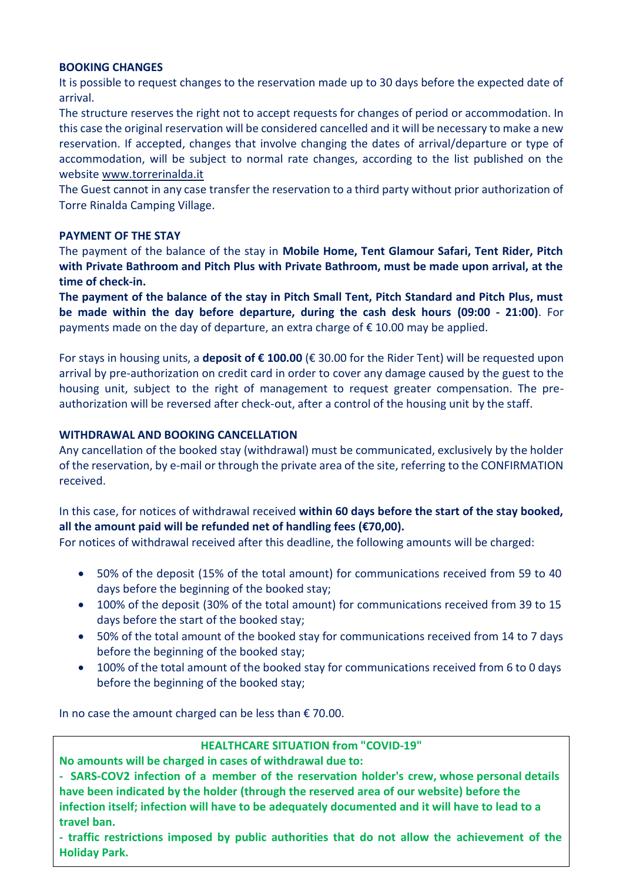#### **BOOKING CHANGES**

It is possible to request changes to the reservation made up to 30 days before the expected date of arrival.

The structure reserves the right not to accept requests for changes of period or accommodation. In this case the original reservation will be considered cancelled and it will be necessary to make a new reservation. If accepted, changes that involve changing the dates of arrival/departure or type of accommodation, will be subject to normal rate changes, according to the list published on the website [www.torrerinalda.it](http://www.torrerinalda.it/)

The Guest cannot in any case transfer the reservation to a third party without prior authorization of Torre Rinalda Camping Village.

## **PAYMENT OF THE STAY**

The payment of the balance of the stay in **Mobile Home, Tent Glamour Safari, Tent Rider, Pitch with Private Bathroom and Pitch Plus with Private Bathroom, must be made upon arrival, at the time of check-in.**

**The payment of the balance of the stay in Pitch Small Tent, Pitch Standard and Pitch Plus, must be made within the day before departure, during the cash desk hours (09:00 - 21:00)**. For payments made on the day of departure, an extra charge of  $\epsilon$  10.00 may be applied.

For stays in housing units, a **deposit of € 100.00** (€ 30.00 for the Rider Tent) will be requested upon arrival by pre-authorization on credit card in order to cover any damage caused by the guest to the housing unit, subject to the right of management to request greater compensation. The preauthorization will be reversed after check-out, after a control of the housing unit by the staff.

#### **WITHDRAWAL AND BOOKING CANCELLATION**

Any cancellation of the booked stay (withdrawal) must be communicated, exclusively by the holder of the reservation, by e-mail or through the private area of the site, referring to the CONFIRMATION received.

# In this case, for notices of withdrawal received **within 60 days before the start of the stay booked, all the amount paid will be refunded net of handling fees (€70,00).**

For notices of withdrawal received after this deadline, the following amounts will be charged:

- 50% of the deposit (15% of the total amount) for communications received from 59 to 40 days before the beginning of the booked stay;
- 100% of the deposit (30% of the total amount) for communications received from 39 to 15 days before the start of the booked stay;
- 50% of the total amount of the booked stay for communications received from 14 to 7 days before the beginning of the booked stay;
- 100% of the total amount of the booked stay for communications received from 6 to 0 days before the beginning of the booked stay;

In no case the amount charged can be less than  $\epsilon$  70.00.

## **HEALTHCARE SITUATION from "COVID-19"**

**No amounts will be charged in cases of withdrawal due to:**

**- SARS-COV2 infection of a member of the reservation holder's crew, whose personal details have been indicated by the holder (through the reserved area of our website) before the infection itself; infection will have to be adequately documented and it will have to lead to a travel ban.**

**- traffic restrictions imposed by public authorities that do not allow the achievement of the Holiday Park.**